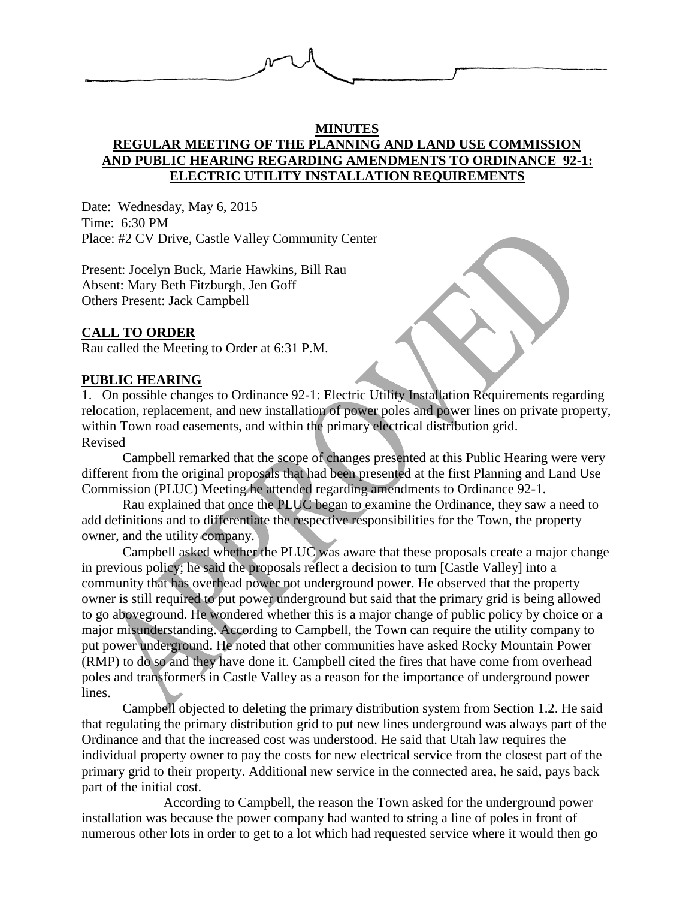

# **MINUTES REGULAR MEETING OF THE PLANNING AND LAND USE COMMISSION AND PUBLIC HEARING REGARDING AMENDMENTS TO ORDINANCE 92-1: ELECTRIC UTILITY INSTALLATION REQUIREMENTS**

Date: Wednesday, May 6, 2015 Time: 6:30 PM Place: #2 CV Drive, Castle Valley Community Center

Present: Jocelyn Buck, Marie Hawkins, Bill Rau Absent: Mary Beth Fitzburgh, Jen Goff Others Present: Jack Campbell

# **CALL TO ORDER**

Rau called the Meeting to Order at 6:31 P.M.

## **PUBLIC HEARING**

1. On possible changes to Ordinance 92-1: Electric Utility Installation Requirements regarding relocation, replacement, and new installation of power poles and power lines on private property, within Town road easements, and within the primary electrical distribution grid. Revised

Campbell remarked that the scope of changes presented at this Public Hearing were very different from the original proposals that had been presented at the first Planning and Land Use Commission (PLUC) Meeting he attended regarding amendments to Ordinance 92-1.

Rau explained that once the PLUC began to examine the Ordinance, they saw a need to add definitions and to differentiate the respective responsibilities for the Town, the property owner, and the utility company.

Campbell asked whether the PLUC was aware that these proposals create a major change in previous policy; he said the proposals reflect a decision to turn [Castle Valley] into a community that has overhead power not underground power. He observed that the property owner is still required to put power underground but said that the primary grid is being allowed to go aboveground. He wondered whether this is a major change of public policy by choice or a major misunderstanding. According to Campbell, the Town can require the utility company to put power underground. He noted that other communities have asked Rocky Mountain Power (RMP) to do so and they have done it. Campbell cited the fires that have come from overhead poles and transformers in Castle Valley as a reason for the importance of underground power lines.

Campbell objected to deleting the primary distribution system from Section 1.2. He said that regulating the primary distribution grid to put new lines underground was always part of the Ordinance and that the increased cost was understood. He said that Utah law requires the individual property owner to pay the costs for new electrical service from the closest part of the primary grid to their property. Additional new service in the connected area, he said, pays back part of the initial cost.

According to Campbell, the reason the Town asked for the underground power installation was because the power company had wanted to string a line of poles in front of numerous other lots in order to get to a lot which had requested service where it would then go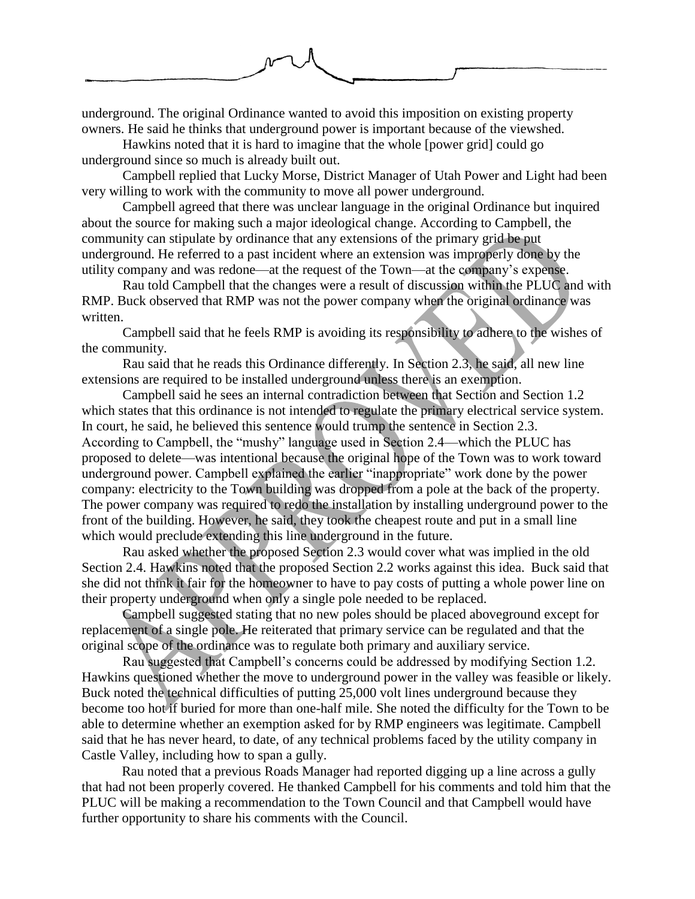

underground. The original Ordinance wanted to avoid this imposition on existing property owners. He said he thinks that underground power is important because of the viewshed.

Hawkins noted that it is hard to imagine that the whole [power grid] could go underground since so much is already built out.

Campbell replied that Lucky Morse, District Manager of Utah Power and Light had been very willing to work with the community to move all power underground.

Campbell agreed that there was unclear language in the original Ordinance but inquired about the source for making such a major ideological change. According to Campbell, the community can stipulate by ordinance that any extensions of the primary grid be put underground. He referred to a past incident where an extension was improperly done by the utility company and was redone—at the request of the Town—at the company's expense.

Rau told Campbell that the changes were a result of discussion within the PLUC and with RMP. Buck observed that RMP was not the power company when the original ordinance was written.

Campbell said that he feels RMP is avoiding its responsibility to adhere to the wishes of the community.

Rau said that he reads this Ordinance differently. In Section 2.3, he said, all new line extensions are required to be installed underground unless there is an exemption.

Campbell said he sees an internal contradiction between that Section and Section 1.2 which states that this ordinance is not intended to regulate the primary electrical service system. In court, he said, he believed this sentence would trump the sentence in Section 2.3. According to Campbell, the "mushy" language used in Section 2.4—which the PLUC has proposed to delete—was intentional because the original hope of the Town was to work toward underground power. Campbell explained the earlier "inappropriate" work done by the power company: electricity to the Town building was dropped from a pole at the back of the property. The power company was required to redo the installation by installing underground power to the front of the building. However, he said, they took the cheapest route and put in a small line which would preclude extending this line underground in the future.

Rau asked whether the proposed Section 2.3 would cover what was implied in the old Section 2.4. Hawkins noted that the proposed Section 2.2 works against this idea. Buck said that she did not think it fair for the homeowner to have to pay costs of putting a whole power line on their property underground when only a single pole needed to be replaced.

Campbell suggested stating that no new poles should be placed aboveground except for replacement of a single pole. He reiterated that primary service can be regulated and that the original scope of the ordinance was to regulate both primary and auxiliary service.

Rau suggested that Campbell's concerns could be addressed by modifying Section 1.2. Hawkins questioned whether the move to underground power in the valley was feasible or likely. Buck noted the technical difficulties of putting 25,000 volt lines underground because they become too hot if buried for more than one-half mile. She noted the difficulty for the Town to be able to determine whether an exemption asked for by RMP engineers was legitimate. Campbell said that he has never heard, to date, of any technical problems faced by the utility company in Castle Valley, including how to span a gully.

Rau noted that a previous Roads Manager had reported digging up a line across a gully that had not been properly covered. He thanked Campbell for his comments and told him that the PLUC will be making a recommendation to the Town Council and that Campbell would have further opportunity to share his comments with the Council.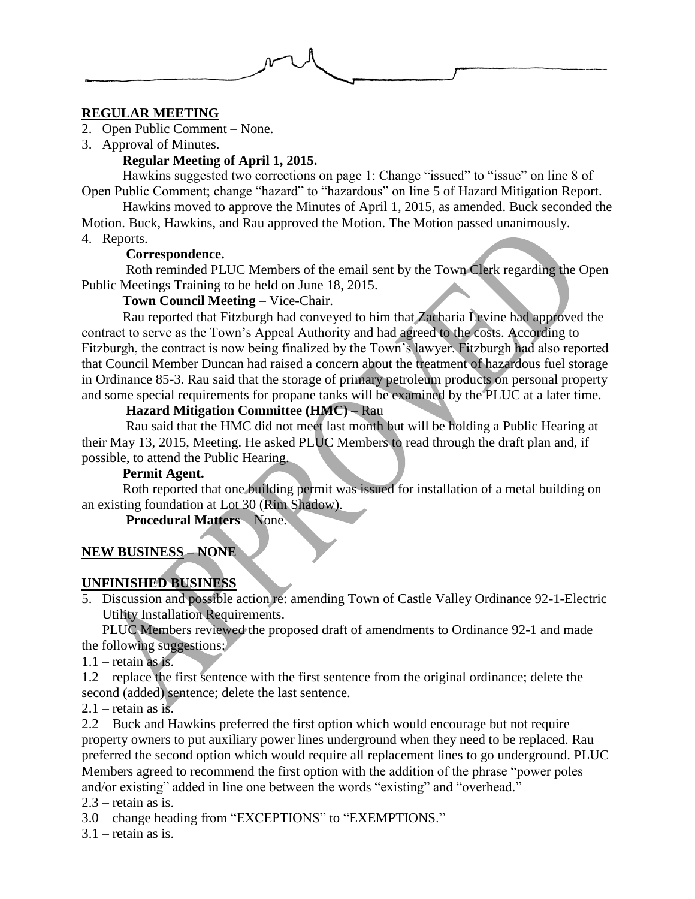## **REGULAR MEETING**

- 2. Open Public Comment None.
- 3. Approval of Minutes.

# **Regular Meeting of April 1, 2015.**

Hawkins suggested two corrections on page 1: Change "issued" to "issue" on line 8 of Open Public Comment; change "hazard" to "hazardous" on line 5 of Hazard Mitigation Report.

Hawkins moved to approve the Minutes of April 1, 2015, as amended. Buck seconded the Motion. Buck, Hawkins, and Rau approved the Motion. The Motion passed unanimously. 4. Reports.

# **Correspondence.**

Roth reminded PLUC Members of the email sent by the Town Clerk regarding the Open Public Meetings Training to be held on June 18, 2015.

# **Town Council Meeting** – Vice-Chair.

Rau reported that Fitzburgh had conveyed to him that Zacharia Levine had approved the contract to serve as the Town's Appeal Authority and had agreed to the costs. According to Fitzburgh, the contract is now being finalized by the Town's lawyer. Fitzburgh had also reported that Council Member Duncan had raised a concern about the treatment of hazardous fuel storage in Ordinance 85-3. Rau said that the storage of primary petroleum products on personal property and some special requirements for propane tanks will be examined by the PLUC at a later time.

# **Hazard Mitigation Committee (HMC)** – Rau

Rau said that the HMC did not meet last month but will be holding a Public Hearing at their May 13, 2015, Meeting. He asked PLUC Members to read through the draft plan and, if possible, to attend the Public Hearing.

## **Permit Agent.**

Roth reported that one building permit was issued for installation of a metal building on an existing foundation at Lot 30 (Rim Shadow).

## **Procedural Matters** – None.

# **NEW BUSINESS – NONE**

# **UNFINISHED BUSINESS**

5. Discussion and possible action re: amending Town of Castle Valley Ordinance 92-1-Electric Utility Installation Requirements.

PLUC Members reviewed the proposed draft of amendments to Ordinance 92-1 and made the following suggestions:

 $1.1$  – retain as is.

1.2 – replace the first sentence with the first sentence from the original ordinance; delete the second (added) sentence; delete the last sentence.

 $2.1$  – retain as is.

2.2 – Buck and Hawkins preferred the first option which would encourage but not require property owners to put auxiliary power lines underground when they need to be replaced. Rau preferred the second option which would require all replacement lines to go underground. PLUC Members agreed to recommend the first option with the addition of the phrase "power poles and/or existing" added in line one between the words "existing" and "overhead."

 $2.3$  – retain as is.

3.0 – change heading from "EXCEPTIONS" to "EXEMPTIONS."

 $3.1$  – retain as is.